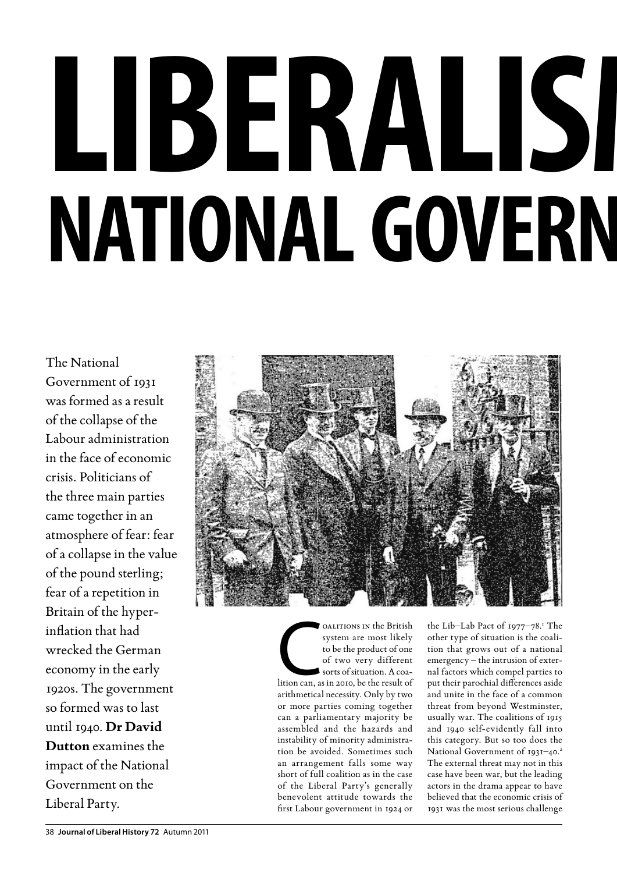## LIBERALISI **NATIONAL GOVERN**

The National Government of 1931 was formed as a result of the collapse of the Labour administration in the face of economic crisis. Politicians of the three main parties came together in an atmosphere of fear: fear of a collapse in the value of the pound sterling; fear of a repetition in Britain of the hyperinflation that had wrecked the German economy in the early 1920s. The government so formed was to last until 1940. **Dr David Dutton** examines the impact of the National Government on the Liberal Party.



OALITIONS IN the British<br>system are most likely<br>to be the product of one<br>of two very different<br>sorts of situation. A coa-<br>lition can, as in 2010, be the result of oalitions in the British system are most likely to be the product of one of two very different sorts of situation. A coaarithmetical necessity. Only by two or more parties coming together can a parliamentary majority be assembled and the hazards and instability of minority administration be avoided. Sometimes such an arrangement falls some way short of full coalition as in the case of the Liberal Party's generally benevolent attitude towards the first Labour government in 1924 or

the Lib-Lab Pact of 1977-78.<sup>1</sup> The other type of situation is the coalition that grows out of a national emergency – the intrusion of external factors which compel parties to put their parochial differences aside and unite in the face of a common threat from beyond Westminster, usually war. The coalitions of 1915 and 1940 self-evidently fall into this category. But so too does the National Government of 1931-40.<sup>2</sup> The external threat may not in this case have been war, but the leading actors in the drama appear to have believed that the economic crisis of 1931 was the most serious challenge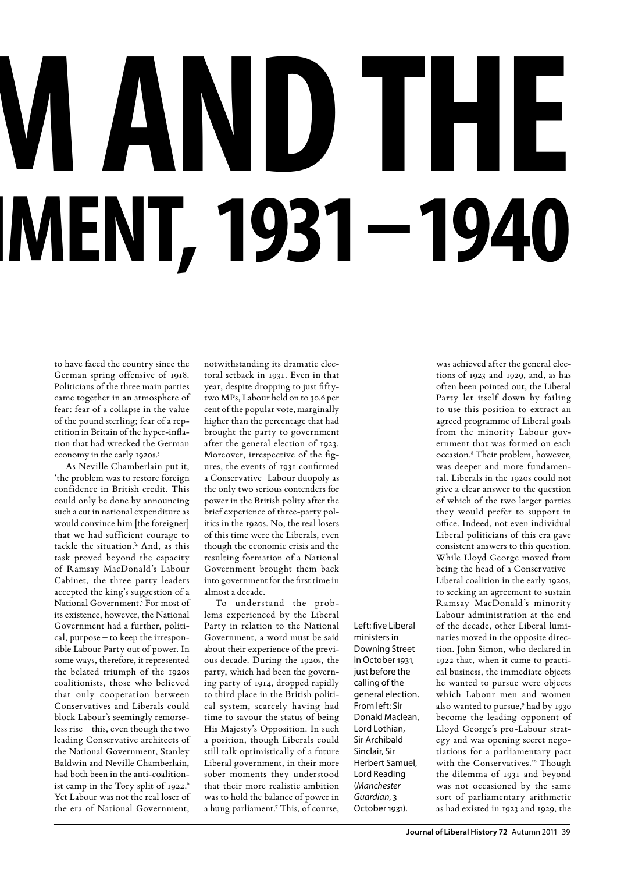# **LAND THE MENT, 1931–1940**

to have faced the country since the German spring offensive of 1918. Politicians of the three main parties came together in an atmosphere of fear: fear of a collapse in the value of the pound sterling; fear of a repetition in Britain of the hyper-inflation that had wrecked the German economy in the early 1920s.<sup>3</sup>

As Neville Chamberlain put it, 'the problem was to restore foreign confidence in British credit. This could only be done by announcing such a cut in national expenditure as would convince him [the foreigner] that we had sufficient courage to tackle the situation.'4 And, as this task proved beyond the capacity of Ramsay MacDonald's Labour Cabinet, the three party leaders accepted the king's suggestion of a National Government.<sup>5</sup> For most of its existence, however, the National Government had a further, political, purpose – to keep the irresponsible Labour Party out of power. In some ways, therefore, it represented the belated triumph of the 1920s coalitionists, those who believed that only cooperation between Conservatives and Liberals could block Labour's seemingly remorseless rise – this, even though the two leading Conservative architects of the National Government, Stanley Baldwin and Neville Chamberlain, had both been in the anti-coalitionist camp in the Tory split of 1922. Yet Labour was not the real loser of the era of National Government,

notwithstanding its dramatic electoral setback in 1931. Even in that year, despite dropping to just fiftytwo MPs, Labour held on to 30.6 per cent of the popular vote, marginally higher than the percentage that had brought the party to government after the general election of 1923. Moreover, irrespective of the figures, the events of 1931 confirmed a Conservative–Labour duopoly as the only two serious contenders for power in the British polity after the brief experience of three-party politics in the 1920s. No, the real losers of this time were the Liberals, even though the economic crisis and the resulting formation of a National Government brought them back into government for the first time in almost a decade.

To understand the problems experienced by the Liberal Party in relation to the National Government, a word must be said about their experience of the previous decade. During the 1920s, the party, which had been the governing party of 1914, dropped rapidly to third place in the British political system, scarcely having had time to savour the status of being His Majesty's Opposition. In such a position, though Liberals could still talk optimistically of a future Liberal government, in their more sober moments they understood that their more realistic ambition was to hold the balance of power in a hung parliament.7 This, of course,

Left: five Liberal ministers in Downing Street in October 1931, just before the calling of the general election. From left: Sir Donald Maclean, Lord Lothian, Sir Archibald Sinclair, Sir Herbert Samuel, Lord Reading (*Manchester Guardian*, 3 October 1931).

was achieved after the general elections of 1923 and 1929, and, as has often been pointed out, the Liberal Party let itself down by failing to use this position to extract an agreed programme of Liberal goals from the minority Labour government that was formed on each occasion.<sup>8</sup> Their problem, however, was deeper and more fundamental. Liberals in the 1920s could not give a clear answer to the question of which of the two larger parties they would prefer to support in office. Indeed, not even individual Liberal politicians of this era gave consistent answers to this question. While Lloyd George moved from being the head of a Conservative– Liberal coalition in the early 1920s, to seeking an agreement to sustain Ramsay MacDonald's minority Labour administration at the end of the decade, other Liberal luminaries moved in the opposite direction. John Simon, who declared in 1922 that, when it came to practical business, the immediate objects he wanted to pursue were objects which Labour men and women also wanted to pursue,9 had by 1930 become the leading opponent of Lloyd George's pro-Labour strategy and was opening secret negotiations for a parliamentary pact with the Conservatives.<sup>10</sup> Though the dilemma of 1931 and beyond was not occasioned by the same sort of parliamentary arithmetic as had existed in 1923 and 1929, the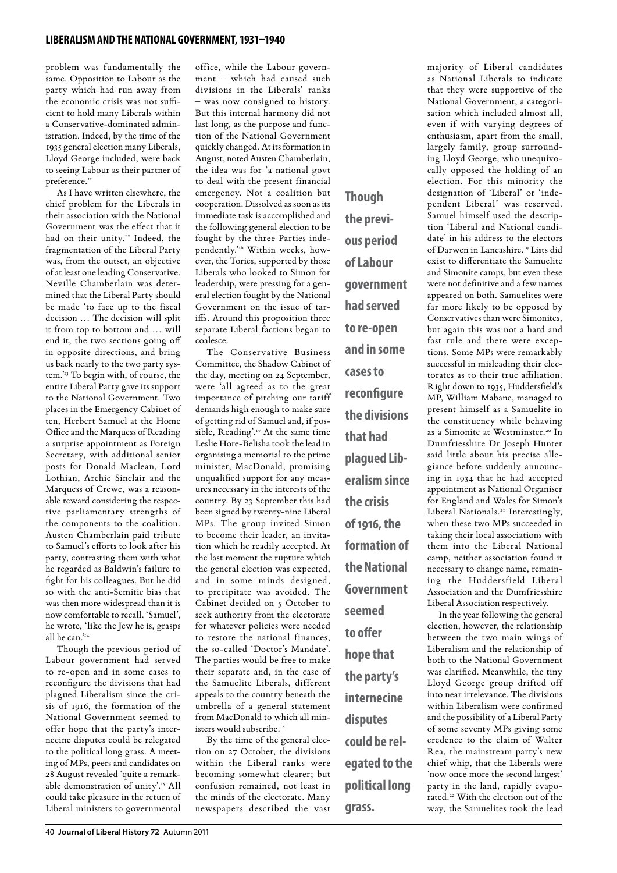### **liberalism and the national government, 1931–1940**

problem was fundamentally the same. Opposition to Labour as the party which had run away from the economic crisis was not sufficient to hold many Liberals within a Conservative-dominated administration. Indeed, by the time of the 1935 general election many Liberals, Lloyd George included, were back to seeing Labour as their partner of preference.<sup>11</sup>

As I have written elsewhere, the chief problem for the Liberals in their association with the National Government was the effect that it had on their unity.<sup>12</sup> Indeed, the fragmentation of the Liberal Party was, from the outset, an objective of at least one leading Conservative. Neville Chamberlain was determined that the Liberal Party should be made 'to face up to the fiscal decision … The decision will split it from top to bottom and … will end it, the two sections going off in opposite directions, and bring us back nearly to the two party system.'13 To begin with, of course, the entire Liberal Party gave its support to the National Government. Two places in the Emergency Cabinet of ten, Herbert Samuel at the Home Office and the Marquess of Reading a surprise appointment as Foreign Secretary, with additional senior posts for Donald Maclean, Lord Lothian, Archie Sinclair and the Marquess of Crewe, was a reasonable reward considering the respective parliamentary strengths of the components to the coalition. Austen Chamberlain paid tribute to Samuel's efforts to look after his party, contrasting them with what he regarded as Baldwin's failure to fight for his colleagues. But he did so with the anti-Semitic bias that was then more widespread than it is now comfortable to recall. 'Samuel', he wrote, 'like the Jew he is, grasps all he can."<sup>14</sup>

Though the previous period of Labour government had served to re-open and in some cases to reconfigure the divisions that had plagued Liberalism since the crisis of 1916, the formation of the National Government seemed to offer hope that the party's internecine disputes could be relegated to the political long grass. A meeting of MPs, peers and candidates on 28 August revealed 'quite a remarkable demonstration of unity'.15 All could take pleasure in the return of Liberal ministers to governmental

office, while the Labour government – which had caused such divisions in the Liberals' ranks – was now consigned to history. But this internal harmony did not last long, as the purpose and function of the National Government quickly changed. At its formation in August, noted Austen Chamberlain, the idea was for 'a national govt to deal with the present financial emergency. Not a coalition but cooperation. Dissolved as soon as its immediate task is accomplished and the following general election to be fought by the three Parties independently."<sup>6</sup> Within weeks, however, the Tories, supported by those Liberals who looked to Simon for leadership, were pressing for a general election fought by the National Government on the issue of tariffs. Around this proposition three separate Liberal factions began to coalesce.

The Conservative Business Committee, the Shadow Cabinet of the day, meeting on 24 September, were 'all agreed as to the great importance of pitching our tariff demands high enough to make sure of getting rid of Samuel and, if possible, Reading'.17 At the same time Leslie Hore-Belisha took the lead in organising a memorial to the prime minister, MacDonald, promising unqualified support for any measures necessary in the interests of the country. By 23 September this had been signed by twenty-nine Liberal MPs. The group invited Simon to become their leader, an invitation which he readily accepted. At the last moment the rupture which the general election was expected, and in some minds designed, to precipitate was avoided. The Cabinet decided on 5 October to seek authority from the electorate for whatever policies were needed to restore the national finances, the so-called 'Doctor's Mandate'. The parties would be free to make their separate and, in the case of the Samuelite Liberals, different appeals to the country beneath the umbrella of a general statement from MacDonald to which all ministers would subscribe.<sup>1</sup>

By the time of the general election on 27 October, the divisions within the Liberal ranks were becoming somewhat clearer; but confusion remained, not least in the minds of the electorate. Many newspapers described the vast

**Though the previous period of Labour government had served to re-open and in some cases to reconfigure the divisions that had plagued Liberalism since the crisis of 1916, the formation of the National Government seemed to offer hope that the party's internecine disputes could be relegated to the political long** 

**grass.**

majority of Liberal candidates as National Liberals to indicate that they were supportive of the National Government, a categorisation which included almost all, even if with varying degrees of enthusiasm, apart from the small, largely family, group surrounding Lloyd George, who unequivocally opposed the holding of an election. For this minority the designation of 'Liberal' or 'independent Liberal' was reserved. Samuel himself used the description 'Liberal and National candidate' in his address to the electors of Darwen in Lancashire.19 Lists did exist to differentiate the Samuelite and Simonite camps, but even these were not definitive and a few names appeared on both. Samuelites were far more likely to be opposed by Conservatives than were Simonites, but again this was not a hard and fast rule and there were exceptions. Some MPs were remarkably successful in misleading their electorates as to their true affiliation. Right down to 1935, Huddersfield's MP, William Mabane, managed to present himself as a Samuelite in the constituency while behaving as a Simonite at Westminster.<sup>20</sup> In Dumfriesshire Dr Joseph Hunter said little about his precise allegiance before suddenly announcing in 1934 that he had accepted appointment as National Organiser for England and Wales for Simon's Liberal Nationals.<sup>21</sup> Interestingly, when these two MPs succeeded in taking their local associations with them into the Liberal National camp, neither association found it necessary to change name, remaining the Huddersfield Liberal Association and the Dumfriesshire Liberal Association respectively.

In the year following the general election, however, the relationship between the two main wings of Liberalism and the relationship of both to the National Government was clarified. Meanwhile, the tiny Lloyd George group drifted off into near irrelevance. The divisions within Liberalism were confirmed and the possibility of a Liberal Party of some seventy MPs giving some credence to the claim of Walter Rea, the mainstream party's new chief whip, that the Liberals were 'now once more the second largest' party in the land, rapidly evaporated.<sup>22</sup> With the election out of the way, the Samuelites took the lead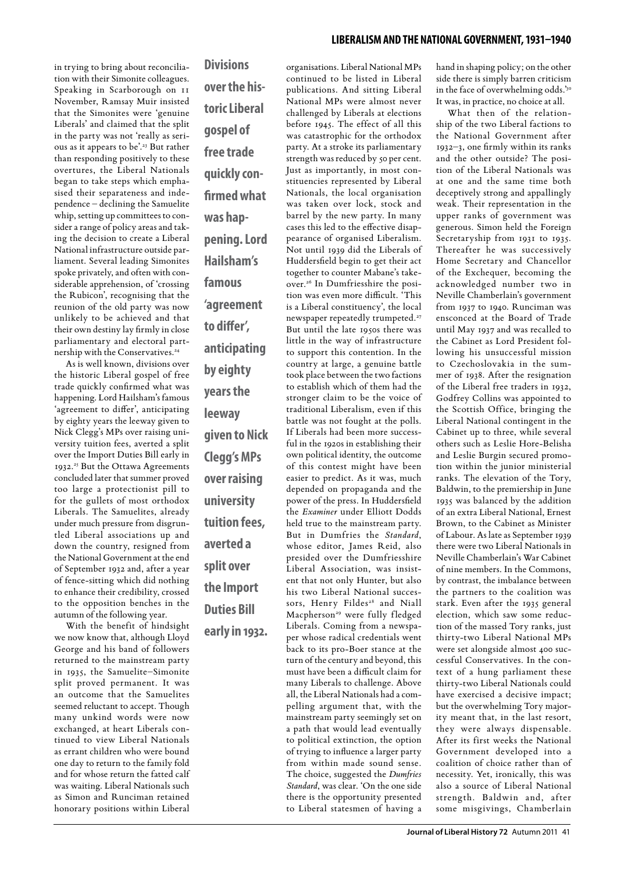in trying to bring about reconciliation with their Simonite colleagues. Speaking in Scarborough on 11 November, Ramsay Muir insisted that the Simonites were 'genuine Liberals' and claimed that the split in the party was not 'really as serious as it appears to be'.23 But rather than responding positively to these overtures, the Liberal Nationals began to take steps which emphasised their separateness and independence – declining the Samuelite whip, setting up committees to consider a range of policy areas and taking the decision to create a Liberal National infrastructure outside parliament. Several leading Simonites spoke privately, and often with considerable apprehension, of 'crossing the Rubicon', recognising that the reunion of the old party was now unlikely to be achieved and that their own destiny lay firmly in close parliamentary and electoral partnership with the Conservatives.<sup>24</sup>

As is well known, divisions over the historic Liberal gospel of free trade quickly confirmed what was happening. Lord Hailsham's famous 'agreement to differ', anticipating by eighty years the leeway given to Nick Clegg's MPs over raising university tuition fees, averted a split over the Import Duties Bill early in 1932.<sup>25</sup> But the Ottawa Agreements concluded later that summer proved too large a protectionist pill to for the gullets of most orthodox Liberals. The Samuelites, already under much pressure from disgruntled Liberal associations up and down the country, resigned from the National Government at the end of September 1932 and, after a year of fence-sitting which did nothing to enhance their credibility, crossed to the opposition benches in the autumn of the following year.

With the benefit of hindsight we now know that, although Lloyd George and his band of followers returned to the mainstream party in 1935, the Samuelite–Simonite split proved permanent. It was an outcome that the Samuelites seemed reluctant to accept. Though many unkind words were now exchanged, at heart Liberals continued to view Liberal Nationals as errant children who were bound one day to return to the family fold and for whose return the fatted calf was waiting. Liberal Nationals such as Simon and Runciman retained honorary positions within Liberal

**Divisions over the historic Liberal gospel of free trade quickly confirmed what was happening. Lord Hailsham's famous 'agreement to differ', anticipating by eighty years the leeway given to Nick Clegg's MPs over raising university tuition fees, averted a split over the Import Duties Bill early in 1932.**

organisations. Liberal National MPs continued to be listed in Liberal publications. And sitting Liberal National MPs were almost never challenged by Liberals at elections before 1945. The effect of all this was catastrophic for the orthodox party. At a stroke its parliamentary strength was reduced by 50 per cent. Just as importantly, in most constituencies represented by Liberal Nationals, the local organisation was taken over lock, stock and barrel by the new party. In many cases this led to the effective disappearance of organised Liberalism. Not until 1939 did the Liberals of Huddersfield begin to get their act together to counter Mabane's takeover.26 In Dumfriesshire the position was even more difficult. 'This is a Liberal constituency', the local newspaper repeatedly trumpeted.<sup>27</sup> But until the late 1950s there was little in the way of infrastructure to support this contention. In the country at large, a genuine battle took place between the two factions to establish which of them had the stronger claim to be the voice of traditional Liberalism, even if this battle was not fought at the polls. If Liberals had been more successful in the 1920s in establishing their own political identity, the outcome of this contest might have been easier to predict. As it was, much depended on propaganda and the power of the press. In Huddersfield the *Examiner* under Elliott Dodds held true to the mainstream party. But in Dumfries the *Standard*, whose editor, James Reid, also presided over the Dumfriesshire Liberal Association, was insistent that not only Hunter, but also his two Liberal National successors, Henry Fildes<sup>28</sup> and Niall Macpherson<sup>29</sup> were fully fledged Liberals. Coming from a newspaper whose radical credentials went back to its pro-Boer stance at the turn of the century and beyond, this must have been a difficult claim for many Liberals to challenge. Above all, the Liberal Nationals had a compelling argument that, with the mainstream party seemingly set on a path that would lead eventually to political extinction, the option of trying to influence a larger party from within made sound sense. The choice, suggested the *Dumfries Standard*, was clear. 'On the one side there is the opportunity presented to Liberal statesmen of having a

hand in shaping policy; on the other side there is simply barren criticism in the face of overwhelming odds.'30 It was, in practice, no choice at all.

What then of the relationship of the two Liberal factions to the National Government after 1932–3, one firmly within its ranks and the other outside? The position of the Liberal Nationals was at one and the same time both deceptively strong and appallingly weak. Their representation in the upper ranks of government was generous. Simon held the Foreign Secretaryship from 1931 to 1935. Thereafter he was successively Home Secretary and Chancellor of the Exchequer, becoming the acknowledged number two in Neville Chamberlain's government from 1937 to 1940. Runciman was ensconced at the Board of Trade until May 1937 and was recalled to the Cabinet as Lord President following his unsuccessful mission to Czechoslovakia in the summer of 1938. After the resignation of the Liberal free traders in 1932, Godfrey Collins was appointed to the Scottish Office, bringing the Liberal National contingent in the Cabinet up to three, while several others such as Leslie Hore-Belisha and Leslie Burgin secured promotion within the junior ministerial ranks. The elevation of the Tory, Baldwin, to the premiership in June 1935 was balanced by the addition of an extra Liberal National, Ernest Brown, to the Cabinet as Minister of Labour. As late as September 1939 there were two Liberal Nationals in Neville Chamberlain's War Cabinet of nine members. In the Commons, by contrast, the imbalance between the partners to the coalition was stark. Even after the 1935 general election, which saw some reduction of the massed Tory ranks, just thirty-two Liberal National MPs were set alongside almost 400 successful Conservatives. In the context of a hung parliament these thirty-two Liberal Nationals could have exercised a decisive impact; but the overwhelming Tory majority meant that, in the last resort, they were always dispensable. After its first weeks the National Government developed into a coalition of choice rather than of necessity. Yet, ironically, this was also a source of Liberal National strength. Baldwin and, after some misgivings, Chamberlain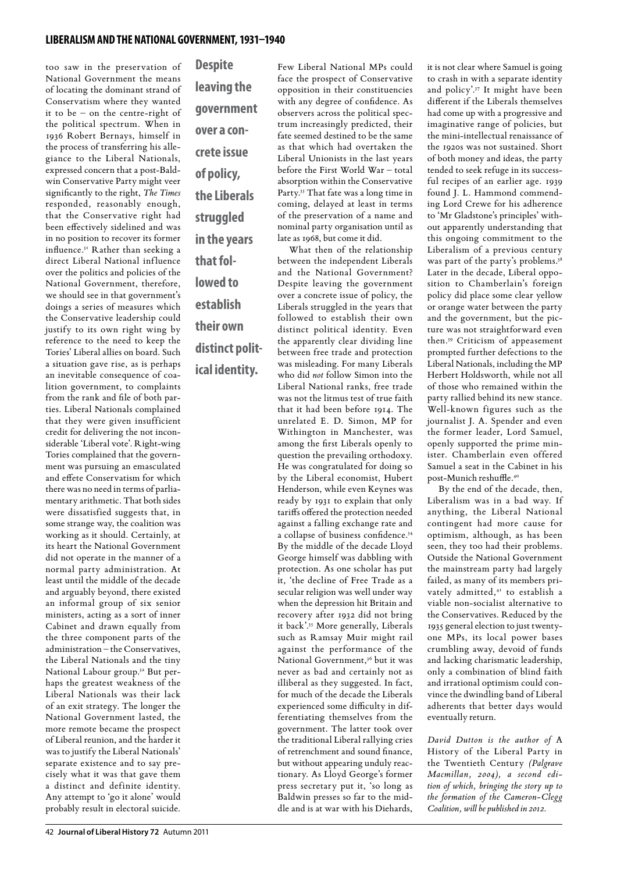### **liberalism and the national government, 1931–1940**

too saw in the preservation of National Government the means of locating the dominant strand of Conservatism where they wanted it to be – on the centre-right of the political spectrum. When in 1936 Robert Bernays, himself in the process of transferring his allegiance to the Liberal Nationals, expressed concern that a post-Baldwin Conservative Party might veer significantly to the right, *The Times* responded, reasonably enough, that the Conservative right had been effectively sidelined and was in no position to recover its former influence.31 Rather than seeking a direct Liberal National influence over the politics and policies of the National Government, therefore, we should see in that government's doings a series of measures which the Conservative leadership could justify to its own right wing by reference to the need to keep the Tories' Liberal allies on board. Such a situation gave rise, as is perhaps an inevitable consequence of coalition government, to complaints from the rank and file of both parties. Liberal Nationals complained that they were given insufficient credit for delivering the not inconsiderable 'Liberal vote'. Right-wing Tories complained that the government was pursuing an emasculated and effete Conservatism for which there was no need in terms of parliamentary arithmetic. That both sides were dissatisfied suggests that, in some strange way, the coalition was working as it should. Certainly, at its heart the National Government did not operate in the manner of a normal party administration. At least until the middle of the decade and arguably beyond, there existed an informal group of six senior ministers, acting as a sort of inner Cabinet and drawn equally from the three component parts of the administration – the Conservatives, the Liberal Nationals and the tiny National Labour group.32 But perhaps the greatest weakness of the Liberal Nationals was their lack of an exit strategy. The longer the National Government lasted, the more remote became the prospect of Liberal reunion, and the harder it was to justify the Liberal Nationals' separate existence and to say precisely what it was that gave them a distinct and definite identity. Any attempt to 'go it alone' would probably result in electoral suicide.

**Despite leaving the government over a concrete issue of policy, the Liberals struggled in the years that followed to establish their own distinct political identity.**

Few Liberal National MPs could face the prospect of Conservative opposition in their constituencies with any degree of confidence. As observers across the political spectrum increasingly predicted, their fate seemed destined to be the same as that which had overtaken the Liberal Unionists in the last years before the First World War – total absorption within the Conservative Party.33 That fate was a long time in coming, delayed at least in terms of the preservation of a name and nominal party organisation until as late as 1968, but come it did. What then of the relationship

between the independent Liberals and the National Government? Despite leaving the government over a concrete issue of policy, the Liberals struggled in the years that followed to establish their own distinct political identity. Even the apparently clear dividing line between free trade and protection was misleading. For many Liberals who did *not* follow Simon into the Liberal National ranks, free trade was not the litmus test of true faith that it had been before 1914. The unrelated E. D. Simon, MP for Withington in Manchester, was among the first Liberals openly to question the prevailing orthodoxy. He was congratulated for doing so by the Liberal economist, Hubert Henderson, while even Keynes was ready by 1931 to explain that only tariffs offered the protection needed against a falling exchange rate and a collapse of business confidence.34 By the middle of the decade Lloyd George himself was dabbling with protection. As one scholar has put it, 'the decline of Free Trade as a secular religion was well under way when the depression hit Britain and recovery after 1932 did not bring it back'.35 More generally, Liberals such as Ramsay Muir might rail against the performance of the National Government,<sup>36</sup> but it was never as bad and certainly not as illiberal as they suggested. In fact, for much of the decade the Liberals experienced some difficulty in differentiating themselves from the government. The latter took over the traditional Liberal rallying cries of retrenchment and sound finance, but without appearing unduly reactionary. As Lloyd George's former press secretary put it, 'so long as Baldwin presses so far to the middle and is at war with his Diehards,

it is not clear where Samuel is going to crash in with a separate identity and policy'.37 It might have been different if the Liberals themselves had come up with a progressive and imaginative range of policies, but the mini-intellectual renaissance of the 1920s was not sustained. Short of both money and ideas, the party tended to seek refuge in its successful recipes of an earlier age. 1939 found J. L. Hammond commending Lord Crewe for his adherence to 'Mr Gladstone's principles' without apparently understanding that this ongoing commitment to the Liberalism of a previous century was part of the party's problems.<sup>38</sup> Later in the decade, Liberal opposition to Chamberlain's foreign policy did place some clear yellow or orange water between the party and the government, but the picture was not straightforward even then.39 Criticism of appeasement prompted further defections to the Liberal Nationals, including the MP Herbert Holdsworth, while not all of those who remained within the party rallied behind its new stance. Well-known figures such as the journalist J. A. Spender and even the former leader, Lord Samuel, openly supported the prime minister. Chamberlain even offered Samuel a seat in the Cabinet in his post-Munich reshuffle.40

By the end of the decade, then, Liberalism was in a bad way. If anything, the Liberal National contingent had more cause for optimism, although, as has been seen, they too had their problems. Outside the National Government the mainstream party had largely failed, as many of its members privately admitted,<sup>41</sup> to establish a viable non-socialist alternative to the Conservatives. Reduced by the 1935 general election to just twentyone MPs, its local power bases crumbling away, devoid of funds and lacking charismatic leadership, only a combination of blind faith and irrational optimism could convince the dwindling band of Liberal adherents that better days would eventually return.

*David Dutton is the author of* A History of the Liberal Party in the Twentieth Century *(Palgrave Macmillan, 2004), a second edition of which, bringing the story up to the formation of the Cameron-Clegg Coalition, will be published in 2012.*